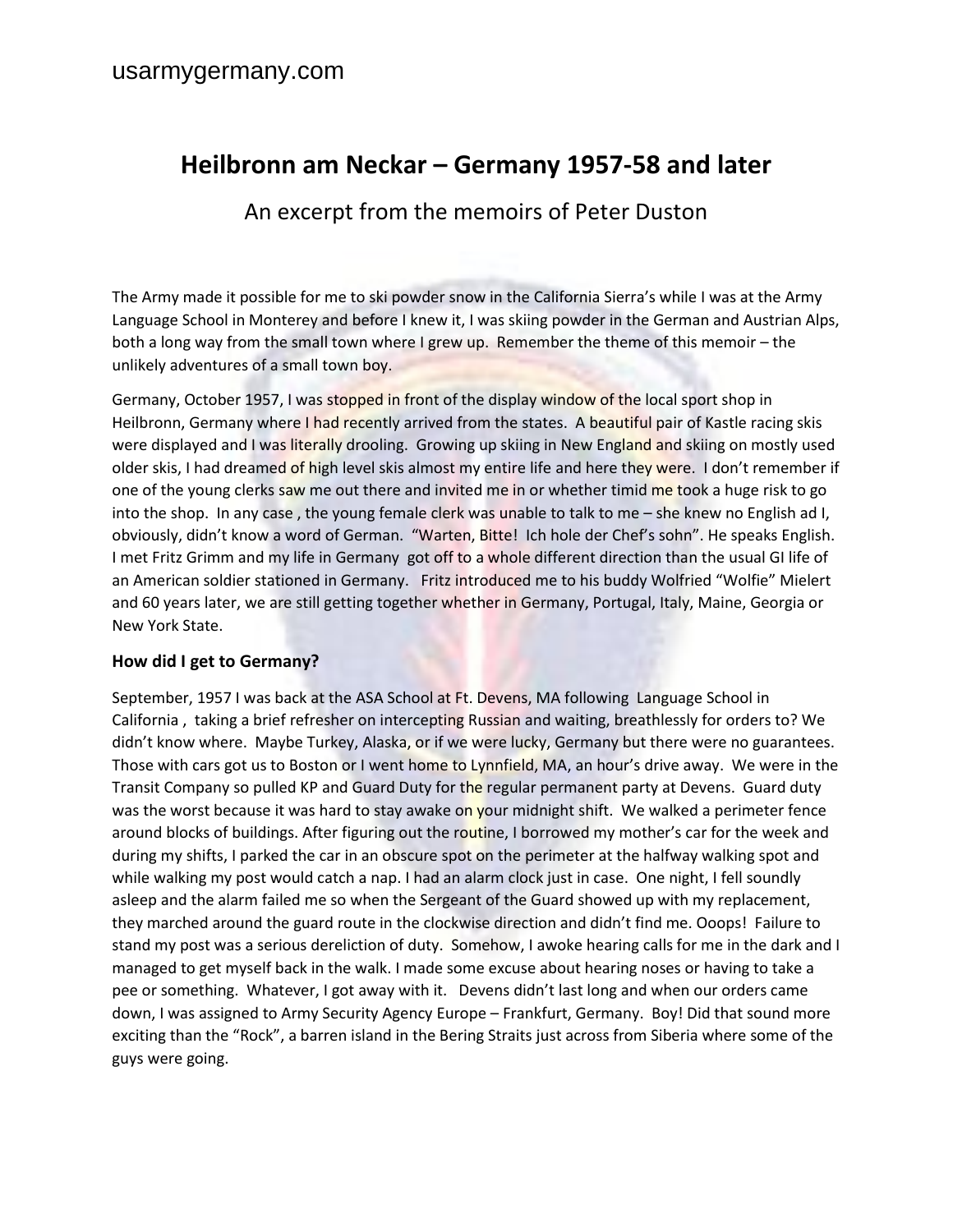# **Heilbronn am Neckar – Germany 1957-58 and later**

An excerpt from the memoirs of Peter Duston

The Army made it possible for me to ski powder snow in the California Sierra's while I was at the Army Language School in Monterey and before I knew it, I was skiing powder in the German and Austrian Alps, both a long way from the small town where I grew up. Remember the theme of this memoir – the unlikely adventures of a small town boy.

Germany, October 1957, I was stopped in front of the display window of the local sport shop in Heilbronn, Germany where I had recently arrived from the states. A beautiful pair of Kastle racing skis were displayed and I was literally drooling. Growing up skiing in New England and skiing on mostly used older skis, I had dreamed of high level skis almost my entire life and here they were. I don't remember if one of the young clerks saw me out there and invited me in or whether timid me took a huge risk to go into the shop. In any case , the young female clerk was unable to talk to me – she knew no English ad I, obviously, didn't know a word of German. "Warten, Bitte! Ich hole der Chef's sohn". He speaks English. I met Fritz Grimm and my life in Germany got off to a whole different direction than the usual GI life of an American soldier stationed in Germany. Fritz introduced me to his buddy Wolfried "Wolfie" Mielert and 60 years later, we are still getting together whether in Germany, Portugal, Italy, Maine, Georgia or New York State.

### **How did I get to Germany?**

September, 1957 I was back at the ASA School at Ft. Devens, MA following Language School in California , taking a brief refresher on intercepting Russian and waiting, breathlessly for orders to? We didn't know where. Maybe Turkey, Alaska, or if we were lucky, Germany but there were no guarantees. Those with cars got us to Boston or I went home to Lynnfield, MA, an hour's drive away. We were in the Transit Company so pulled KP and Guard Duty for the regular permanent party at Devens. Guard duty was the worst because it was hard to stay awake on your midnight shift. We walked a perimeter fence around blocks of buildings. After figuring out the routine, I borrowed my mother's car for the week and during my shifts, I parked the car in an obscure spot on the perimeter at the halfway walking spot and while walking my post would catch a nap. I had an alarm clock just in case. One night, I fell soundly asleep and the alarm failed me so when the Sergeant of the Guard showed up with my replacement, they marched around the guard route in the clockwise direction and didn't find me. Ooops! Failure to stand my post was a serious dereliction of duty. Somehow, I awoke hearing calls for me in the dark and I managed to get myself back in the walk. I made some excuse about hearing noses or having to take a pee or something. Whatever, I got away with it. Devens didn't last long and when our orders came down, I was assigned to Army Security Agency Europe – Frankfurt, Germany. Boy! Did that sound more exciting than the "Rock", a barren island in the Bering Straits just across from Siberia where some of the guys were going.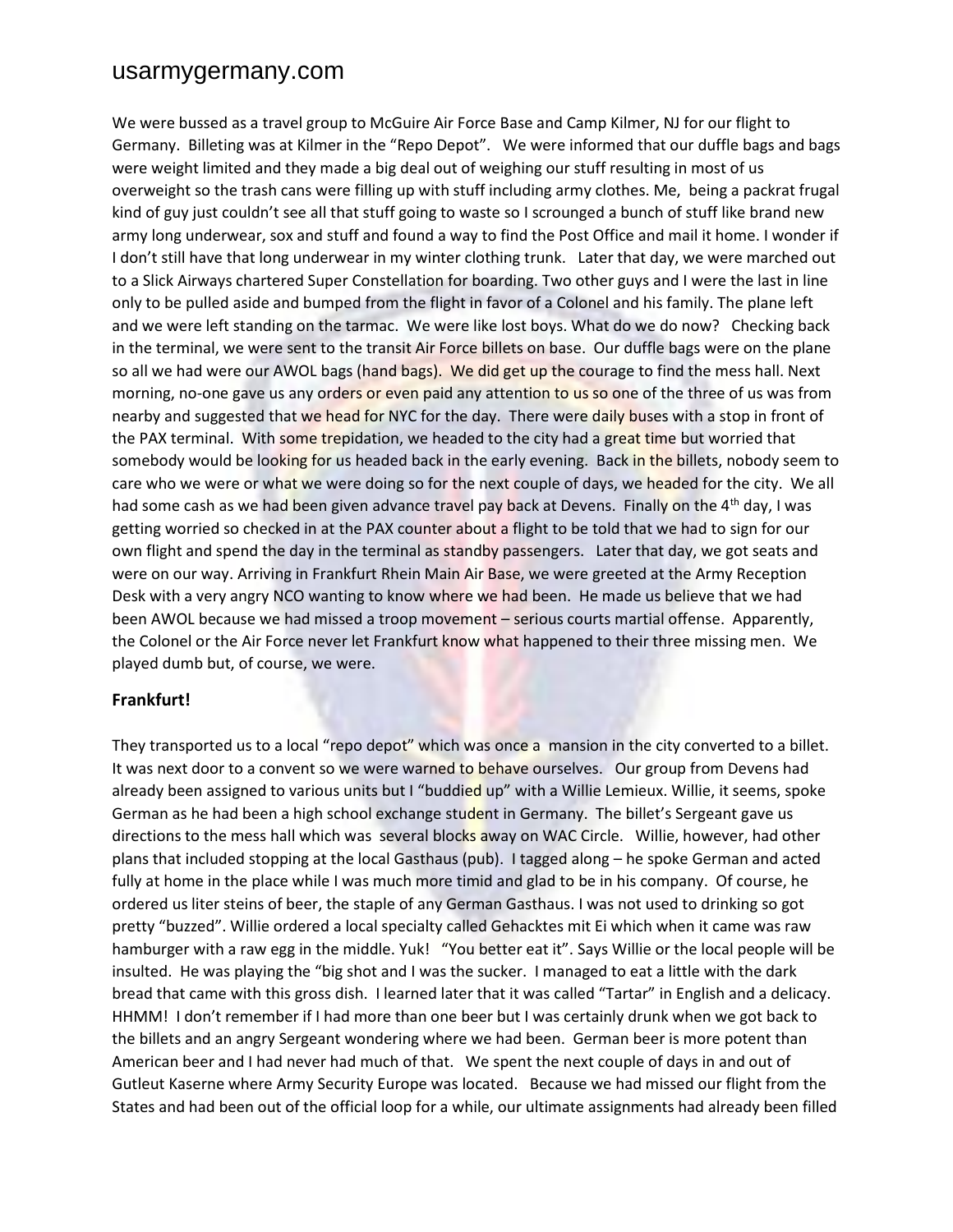We were bussed as a travel group to McGuire Air Force Base and Camp Kilmer, NJ for our flight to Germany. Billeting was at Kilmer in the "Repo Depot". We were informed that our duffle bags and bags were weight limited and they made a big deal out of weighing our stuff resulting in most of us overweight so the trash cans were filling up with stuff including army clothes. Me, being a packrat frugal kind of guy just couldn't see all that stuff going to waste so I scrounged a bunch of stuff like brand new army long underwear, sox and stuff and found a way to find the Post Office and mail it home. I wonder if I don't still have that long underwear in my winter clothing trunk. Later that day, we were marched out to a Slick Airways chartered Super Constellation for boarding. Two other guys and I were the last in line only to be pulled aside and bumped from the flight in favor of a Colonel and his family. The plane left and we were left standing on the tarmac. We were like lost boys. What do we do now? Checking back in the terminal, we were sent to the transit Air Force billets on base. Our duffle bags were on the plane so all we had were our AWOL bags (hand bags). We did get up the courage to find the mess hall. Next morning, no-one gave us any orders or even paid any attention to us so one of the three of us was from nearby and suggested that we head for NYC for the day. There were daily buses with a stop in front of the PAX terminal. With some trepidation, we headed to the city had a great time but worried that somebody would be looking for us headed back in the early evening. Back in the billets, nobody seem to care who we were or what we were doing so for the next couple of days, we headed for the city. We all had some cash as we had been given advance travel pay back at Devens. Finally on the 4<sup>th</sup> day, I was getting worried so checked in at the PAX counter about a flight to be told that we had to sign for our own flight and spend the day in the terminal as standby passengers. Later that day, we got seats and were on our way. Arriving in Frankfurt Rhein Main Air Base, we were greeted at the Army Reception Desk with a very angry NCO wanting to know where we had been. He made us believe that we had been AWOL because we had missed a troop movement – serious courts martial offense. Apparently, the Colonel or the Air Force never let Frankfurt know what happened to their three missing men. We played dumb but, of course, we were.

#### **Frankfurt!**

They transported us to a local "repo depot" which was once a mansion in the city converted to a billet. It was next door to a convent so we were warned to behave ourselves. Our group from Devens had already been assigned to various units but I "buddied up" with a Willie Lemieux. Willie, it seems, spoke German as he had been a high school exchange student in Germany. The billet's Sergeant gave us directions to the mess hall which was several blocks away on WAC Circle. Willie, however, had other plans that included stopping at the local Gasthaus (pub). I tagged along – he spoke German and acted fully at home in the place while I was much more timid and glad to be in his company. Of course, he ordered us liter steins of beer, the staple of any German Gasthaus. I was not used to drinking so got pretty "buzzed". Willie ordered a local specialty called Gehacktes mit Ei which when it came was raw hamburger with a raw egg in the middle. Yuk! "You better eat it". Says Willie or the local people will be insulted. He was playing the "big shot and I was the sucker. I managed to eat a little with the dark bread that came with this gross dish. I learned later that it was called "Tartar" in English and a delicacy. HHMM! I don't remember if I had more than one beer but I was certainly drunk when we got back to the billets and an angry Sergeant wondering where we had been. German beer is more potent than American beer and I had never had much of that. We spent the next couple of days in and out of Gutleut Kaserne where Army Security Europe was located. Because we had missed our flight from the States and had been out of the official loop for a while, our ultimate assignments had already been filled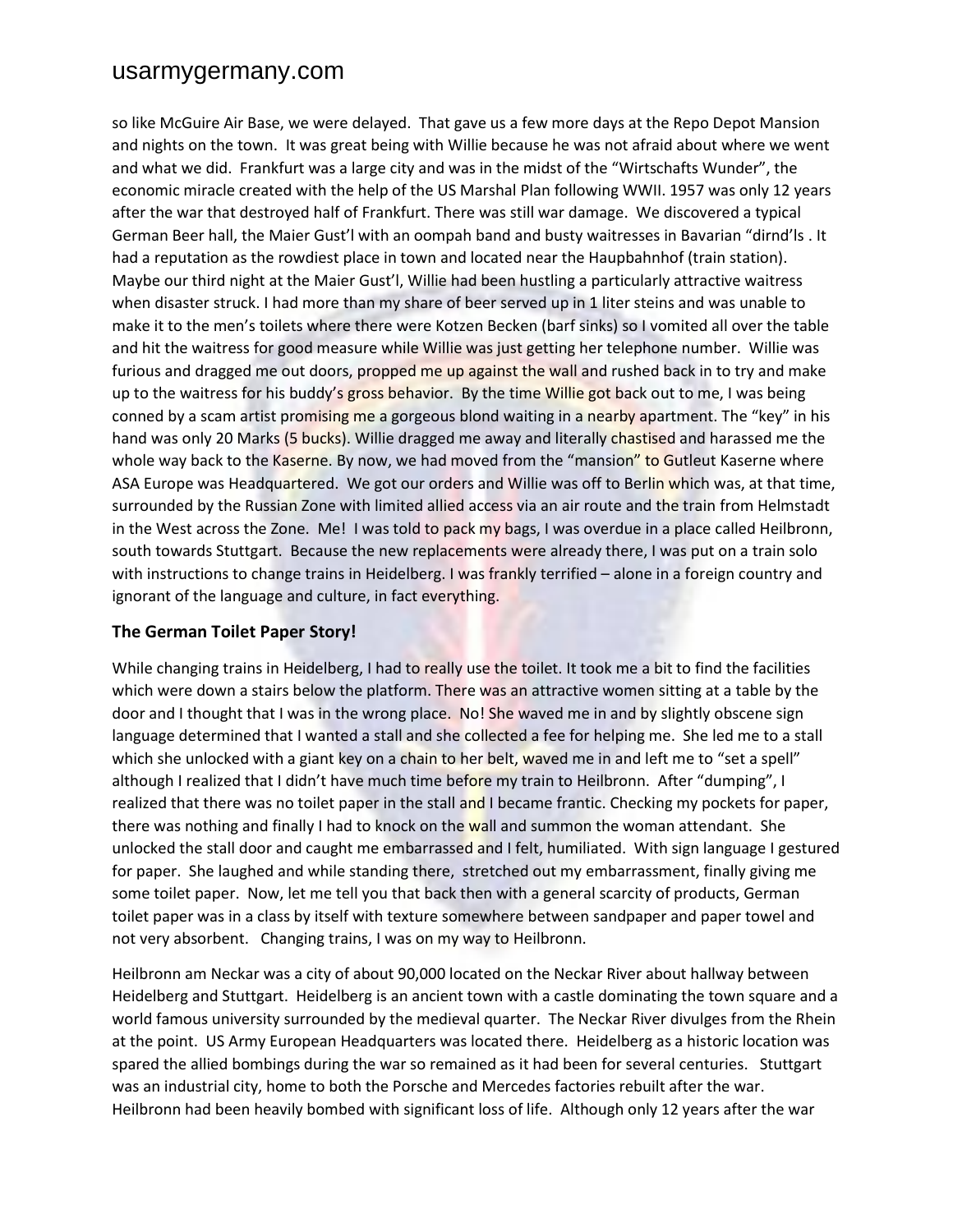so like McGuire Air Base, we were delayed. That gave us a few more days at the Repo Depot Mansion and nights on the town. It was great being with Willie because he was not afraid about where we went and what we did. Frankfurt was a large city and was in the midst of the "Wirtschafts Wunder", the economic miracle created with the help of the US Marshal Plan following WWII. 1957 was only 12 years after the war that destroyed half of Frankfurt. There was still war damage. We discovered a typical German Beer hall, the Maier Gust'l with an oompah band and busty waitresses in Bavarian "dirnd'ls . It had a reputation as the rowdiest place in town and located near the Haupbahnhof (train station). Maybe our third night at the Maier Gust'l, Willie had been hustling a particularly attractive waitress when disaster struck. I had more than my share of beer served up in 1 liter steins and was unable to make it to the men's toilets where there were Kotzen Becken (barf sinks) so I vomited all over the table and hit the waitress for good measure while Willie was just getting her telephone number. Willie was furious and dragged me out doors, propped me up against the wall and rushed back in to try and make up to the waitress for his buddy's gross behavior. By the time Willie got back out to me, I was being conned by a scam artist promising me a gorgeous blond waiting in a nearby apartment. The "key" in his hand was only 20 Marks (5 bucks). Willie dragged me away and literally chastised and harassed me the whole way back to the Kaserne. By now, we had moved from the "mansion" to Gutleut Kaserne where ASA Europe was Headquartered. We got our orders and Willie was off to Berlin which was, at that time, surrounded by the Russian Zone with limited allied access via an air route and the train from Helmstadt in the West across the Zone. Me! I was told to pack my bags, I was overdue in a place called Heilbronn, south towards Stuttgart. Because the new replacements were already there, I was put on a train solo with instructions to change trains in Heidelberg. I was frankly terrified – alone in a foreign country and ignorant of the language and culture, in fact everything.

### **The German Toilet Paper Story!**

While changing trains in Heidelberg, I had to really use the toilet. It took me a bit to find the facilities which were down a stairs below the platform. There was an attractive women sitting at a table by the door and I thought that I was in the wrong place. No! She waved me in and by slightly obscene sign language determined that I wanted a stall and she collected a fee for helping me. She led me to a stall which she unlocked with a giant key on a chain to her belt, waved me in and left me to "set a spell" although I realized that I didn't have much time before my train to Heilbronn. After "dumping", I realized that there was no toilet paper in the stall and I became frantic. Checking my pockets for paper, there was nothing and finally I had to knock on the wall and summon the woman attendant. She unlocked the stall door and caught me embarrassed and I felt, humiliated. With sign language I gestured for paper. She laughed and while standing there, stretched out my embarrassment, finally giving me some toilet paper. Now, let me tell you that back then with a general scarcity of products, German toilet paper was in a class by itself with texture somewhere between sandpaper and paper towel and not very absorbent. Changing trains, I was on my way to Heilbronn.

Heilbronn am Neckar was a city of about 90,000 located on the Neckar River about hallway between Heidelberg and Stuttgart. Heidelberg is an ancient town with a castle dominating the town square and a world famous university surrounded by the medieval quarter. The Neckar River divulges from the Rhein at the point. US Army European Headquarters was located there. Heidelberg as a historic location was spared the allied bombings during the war so remained as it had been for several centuries. Stuttgart was an industrial city, home to both the Porsche and Mercedes factories rebuilt after the war. Heilbronn had been heavily bombed with significant loss of life. Although only 12 years after the war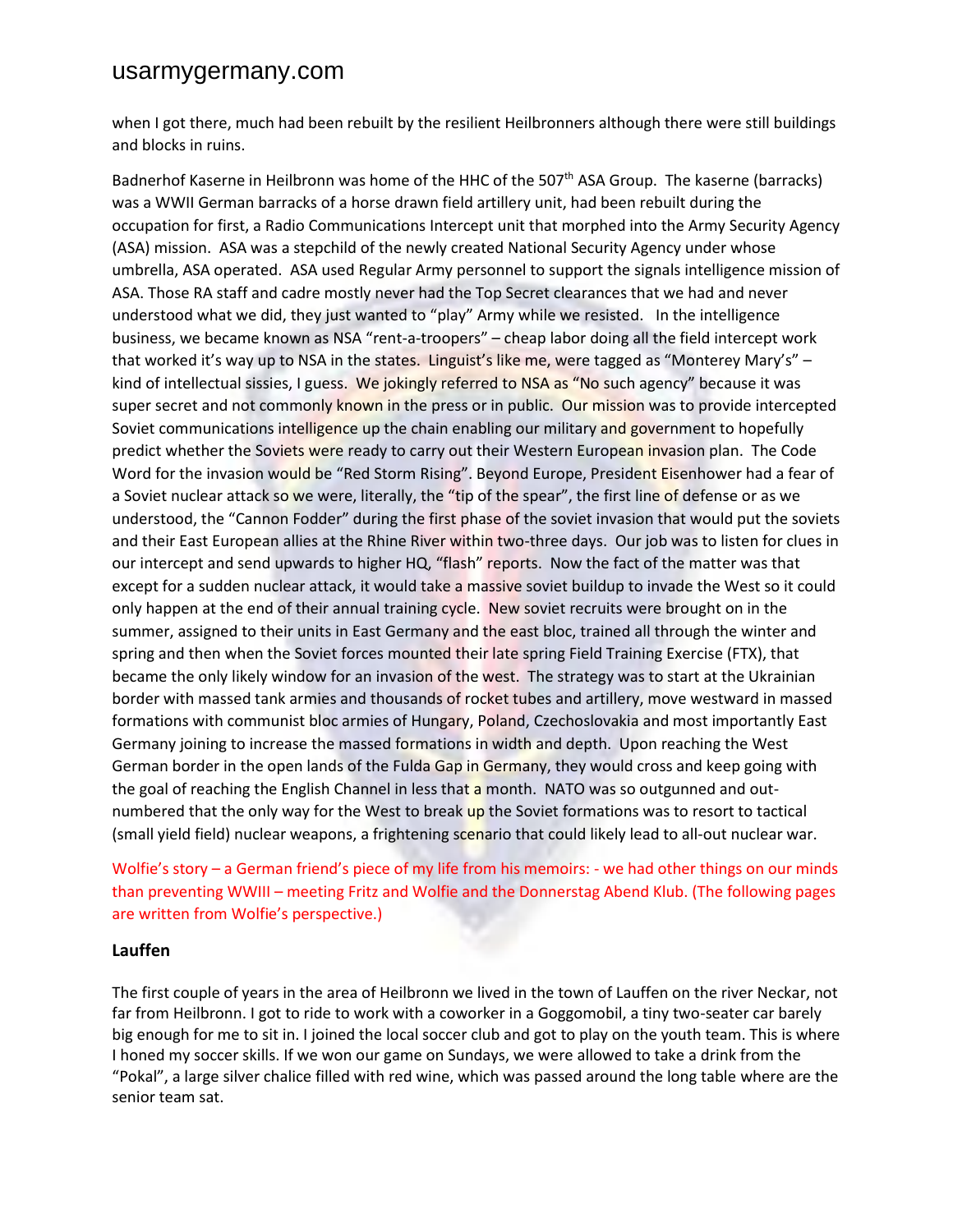when I got there, much had been rebuilt by the resilient Heilbronners although there were still buildings and blocks in ruins.

Badnerhof Kaserne in Heilbronn was home of the HHC of the 507<sup>th</sup> ASA Group. The kaserne (barracks) was a WWII German barracks of a horse drawn field artillery unit, had been rebuilt during the occupation for first, a Radio Communications Intercept unit that morphed into the Army Security Agency (ASA) mission. ASA was a stepchild of the newly created National Security Agency under whose umbrella, ASA operated. ASA used Regular Army personnel to support the signals intelligence mission of ASA. Those RA staff and cadre mostly never had the Top Secret clearances that we had and never understood what we did, they just wanted to "play" Army while we resisted. In the intelligence business, we became known as NSA "rent-a-troopers" – cheap labor doing all the field intercept work that worked it's way up to NSA in the states. Linguist's like me, were tagged as "Monterey Mary's" – kind of intellectual sissies, I guess. We jokingly referred to NSA as "No such agency" because it was super secret and not commonly known in the press or in public. Our mission was to provide intercepted Soviet communications intelligence up the chain enabling our military and government to hopefully predict whether the Soviets were ready to carry out their Western European invasion plan. The Code Word for the invasion would be "Red Storm Rising". Beyond Europe, President Eisenhower had a fear of a Soviet nuclear attack so we were, literally, the "tip of the spear", the first line of defense or as we understood, the "Cannon Fodder" during the first phase of the soviet invasion that would put the soviets and their East European allies at the Rhine River within two-three days. Our job was to listen for clues in our intercept and send upwards to higher HQ, "flash" reports. Now the fact of the matter was that except for a sudden nuclear attack, it would take a massive soviet buildup to invade the West so it could only happen at the end of their annual training cycle. New soviet recruits were brought on in the summer, assigned to their units in East Germany and the east bloc, trained all through the winter and spring and then when the Soviet forces mounted their late spring Field Training Exercise (FTX), that became the only likely window for an invasion of the west. The strategy was to start at the Ukrainian border with massed tank armies and thousands of rocket tubes and artillery, move westward in massed formations with communist bloc armies of Hungary, Poland, Czechoslovakia and most importantly East Germany joining to increase the massed formations in width and depth. Upon reaching the West German border in the open lands of the Fulda Gap in Germany, they would cross and keep going with the goal of reaching the English Channel in less that a month. NATO was so outgunned and outnumbered that the only way for the West to break up the Soviet formations was to resort to tactical (small yield field) nuclear weapons, a frightening scenario that could likely lead to all-out nuclear war.

### Wolfie's story – a German friend's piece of my life from his memoirs: - we had other things on our minds than preventing WWIII – meeting Fritz and Wolfie and the Donnerstag Abend Klub. (The following pages are written from Wolfie's perspective.)

### **Lauffen**

The first couple of years in the area of Heilbronn we lived in the town of Lauffen on the river Neckar, not far from Heilbronn. I got to ride to work with a coworker in a Goggomobil, a tiny two-seater car barely big enough for me to sit in. I joined the local soccer club and got to play on the youth team. This is where I honed my soccer skills. If we won our game on Sundays, we were allowed to take a drink from the "Pokal", a large silver chalice filled with red wine, which was passed around the long table where are the senior team sat.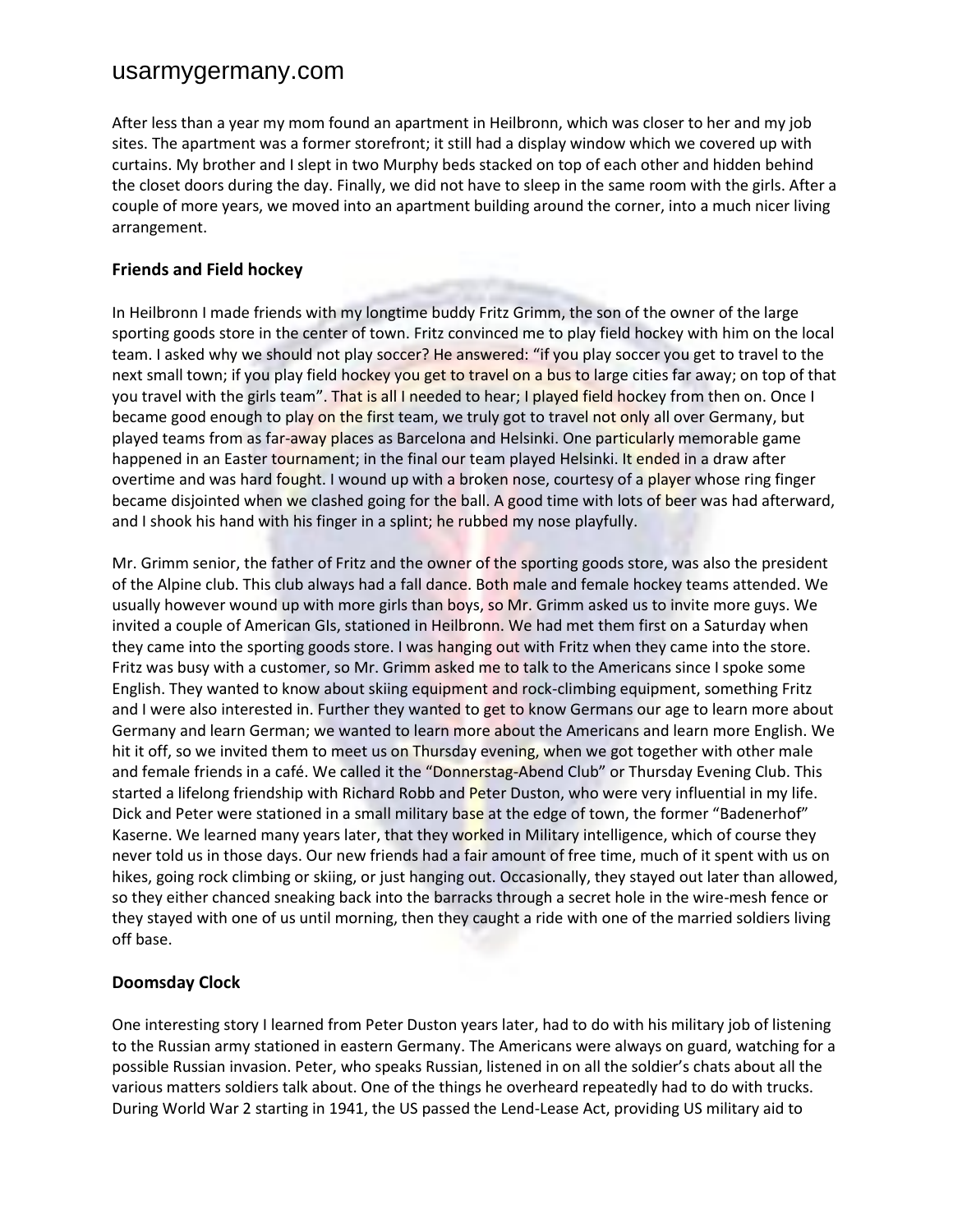After less than a year my mom found an apartment in Heilbronn, which was closer to her and my job sites. The apartment was a former storefront; it still had a display window which we covered up with curtains. My brother and I slept in two Murphy beds stacked on top of each other and hidden behind the closet doors during the day. Finally, we did not have to sleep in the same room with the girls. After a couple of more years, we moved into an apartment building around the corner, into a much nicer living arrangement.

### **Friends and Field hockey**

In Heilbronn I made friends with my longtime buddy Fritz Grimm, the son of the owner of the large sporting goods store in the center of town. Fritz convinced me to play field hockey with him on the local team. I asked why we should not play soccer? He answered: "if you play soccer you get to travel to the next small town; if you play field hockey you get to travel on a bus to large cities far away; on top of that you travel with the girls team". That is all I needed to hear; I played field hockey from then on. Once I became good enough to play on the first team, we truly got to travel not only all over Germany, but played teams from as far-away places as Barcelona and Helsinki. One particularly memorable game happened in an Easter tournament; in the final our team played Helsinki. It ended in a draw after overtime and was hard fought. I wound up with a broken nose, courtesy of a player whose ring finger became disjointed when we clashed going for the ball. A good time with lots of beer was had afterward, and I shook his hand with his finger in a splint; he rubbed my nose playfully.

Mr. Grimm senior, the father of Fritz and the owner of the sporting goods store, was also the president of the Alpine club. This club always had a fall dance. Both male and female hockey teams attended. We usually however wound up with more girls than boys, so Mr. Grimm asked us to invite more guys. We invited a couple of American GIs, stationed in Heilbronn. We had met them first on a Saturday when they came into the sporting goods store. I was hanging out with Fritz when they came into the store. Fritz was busy with a customer, so Mr. Grimm asked me to talk to the Americans since I spoke some English. They wanted to know about skiing equipment and rock-climbing equipment, something Fritz and I were also interested in. Further they wanted to get to know Germans our age to learn more about Germany and learn German; we wanted to learn more about the Americans and learn more English. We hit it off, so we invited them to meet us on Thursday evening, when we got together with other male and female friends in a café. We called it the "Donnerstag-Abend Club" or Thursday Evening Club. This started a lifelong friendship with Richard Robb and Peter Duston, who were very influential in my life. Dick and Peter were stationed in a small military base at the edge of town, the former "Badenerhof" Kaserne. We learned many years later, that they worked in Military intelligence, which of course they never told us in those days. Our new friends had a fair amount of free time, much of it spent with us on hikes, going rock climbing or skiing, or just hanging out. Occasionally, they stayed out later than allowed, so they either chanced sneaking back into the barracks through a secret hole in the wire-mesh fence or they stayed with one of us until morning, then they caught a ride with one of the married soldiers living off base.

### **Doomsday Clock**

One interesting story I learned from Peter Duston years later, had to do with his military job of listening to the Russian army stationed in eastern Germany. The Americans were always on guard, watching for a possible Russian invasion. Peter, who speaks Russian, listened in on all the soldier's chats about all the various matters soldiers talk about. One of the things he overheard repeatedly had to do with trucks. During World War 2 starting in 1941, the US passed the Lend-Lease Act, providing US military aid to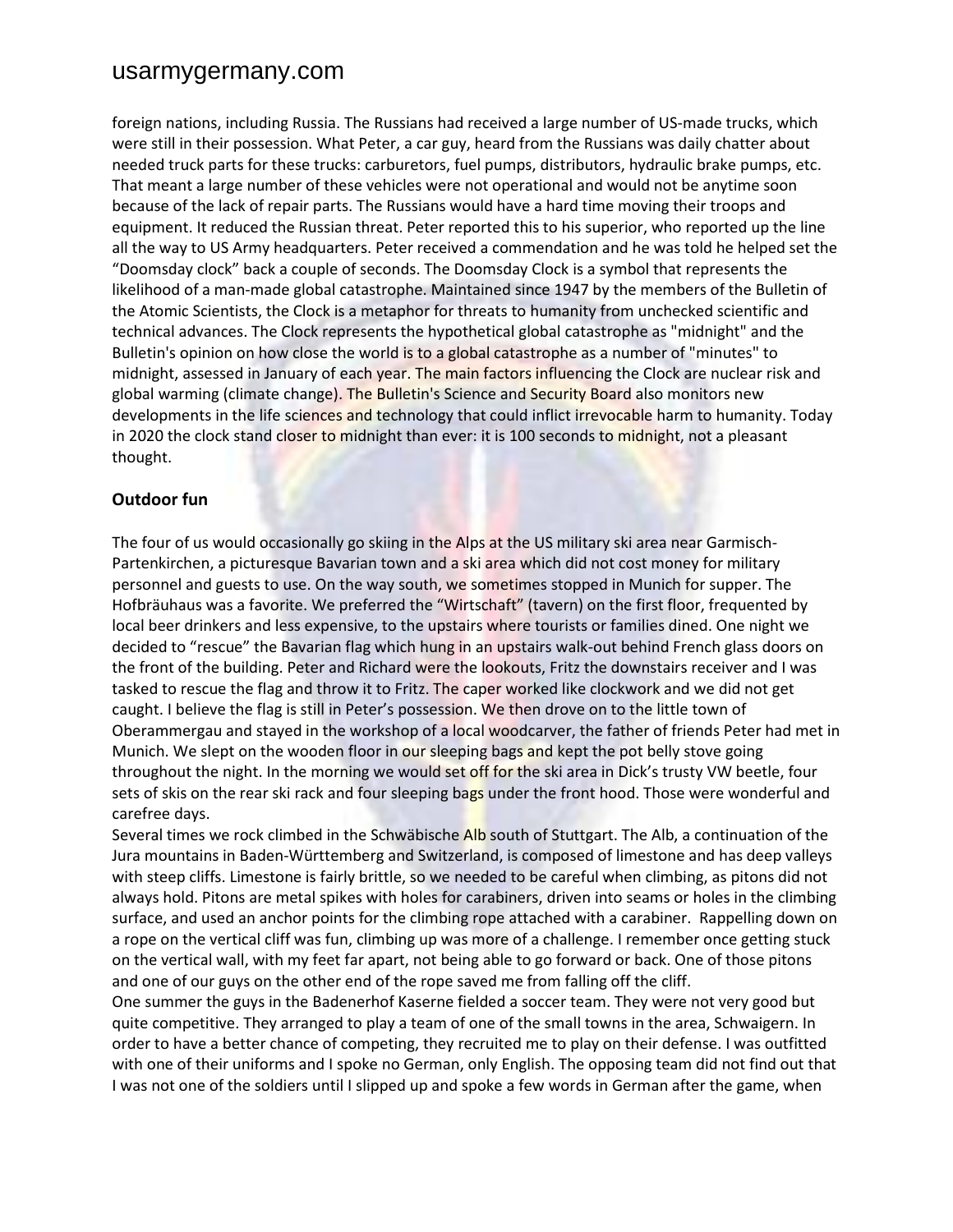foreign nations, including Russia. The Russians had received a large number of US-made trucks, which were still in their possession. What Peter, a car guy, heard from the Russians was daily chatter about needed truck parts for these trucks: carburetors, fuel pumps, distributors, hydraulic brake pumps, etc. That meant a large number of these vehicles were not operational and would not be anytime soon because of the lack of repair parts. The Russians would have a hard time moving their troops and equipment. It reduced the Russian threat. Peter reported this to his superior, who reported up the line all the way to US Army headquarters. Peter received a commendation and he was told he helped set the "Doomsday clock" back a couple of seconds. The Doomsday Clock is a symbol that represents the likelihood of a man-made global catastrophe. Maintained since 1947 by the members of the Bulletin of the Atomic Scientists, the Clock is a metaphor for threats to humanity from unchecked scientific and technical advances. The Clock represents the hypothetical global catastrophe as "midnight" and the Bulletin's opinion on how close the world is to a global catastrophe as a number of "minutes" to midnight, assessed in January of each year. The main factors influencing the Clock are nuclear risk and global warming (climate change). The Bulletin's Science and Security Board also monitors new developments in the life sciences and technology that could inflict irrevocable harm to humanity. Today in 2020 the clock stand closer to midnight than ever: it is 100 seconds to midnight, not a pleasant thought.

### **Outdoor fun**

The four of us would occasionally go skiing in the Alps at the US military ski area near Garmisch-Partenkirchen, a picturesque Bavarian town and a ski area which did not cost money for military personnel and guests to use. On the way south, we sometimes stopped in Munich for supper. The Hofbräuhaus was a favorite. We preferred the "Wirtschaft" (tavern) on the first floor, frequented by local beer drinkers and less expensive, to the upstairs where tourists or families dined. One night we decided to "rescue" the Bavarian flag which hung in an upstairs walk-out behind French glass doors on the front of the building. Peter and Richard were the lookouts, Fritz the downstairs receiver and I was tasked to rescue the flag and throw it to Fritz. The caper worked like clockwork and we did not get caught. I believe the flag is still in Peter's possession. We then drove on to the little town of Oberammergau and stayed in the workshop of a local woodcarver, the father of friends Peter had met in Munich. We slept on the wooden floor in our sleeping bags and kept the pot belly stove going throughout the night. In the morning we would set off for the ski area in Dick's trusty VW beetle, four sets of skis on the rear ski rack and four sleeping bags under the front hood. Those were wonderful and carefree days.

Several times we rock climbed in the Schwäbische Alb south of Stuttgart. The Alb, a continuation of the Jura mountains in Baden-Württemberg and Switzerland, is composed of limestone and has deep valleys with steep cliffs. Limestone is fairly brittle, so we needed to be careful when climbing, as pitons did not always hold. Pitons are metal spikes with holes for carabiners, driven into seams or holes in the climbing surface, and used an anchor points for the climbing rope attached with a carabiner. Rappelling down on a rope on the vertical cliff was fun, climbing up was more of a challenge. I remember once getting stuck on the vertical wall, with my feet far apart, not being able to go forward or back. One of those pitons and one of our guys on the other end of the rope saved me from falling off the cliff.

One summer the guys in the Badenerhof Kaserne fielded a soccer team. They were not very good but quite competitive. They arranged to play a team of one of the small towns in the area, Schwaigern. In order to have a better chance of competing, they recruited me to play on their defense. I was outfitted with one of their uniforms and I spoke no German, only English. The opposing team did not find out that I was not one of the soldiers until I slipped up and spoke a few words in German after the game, when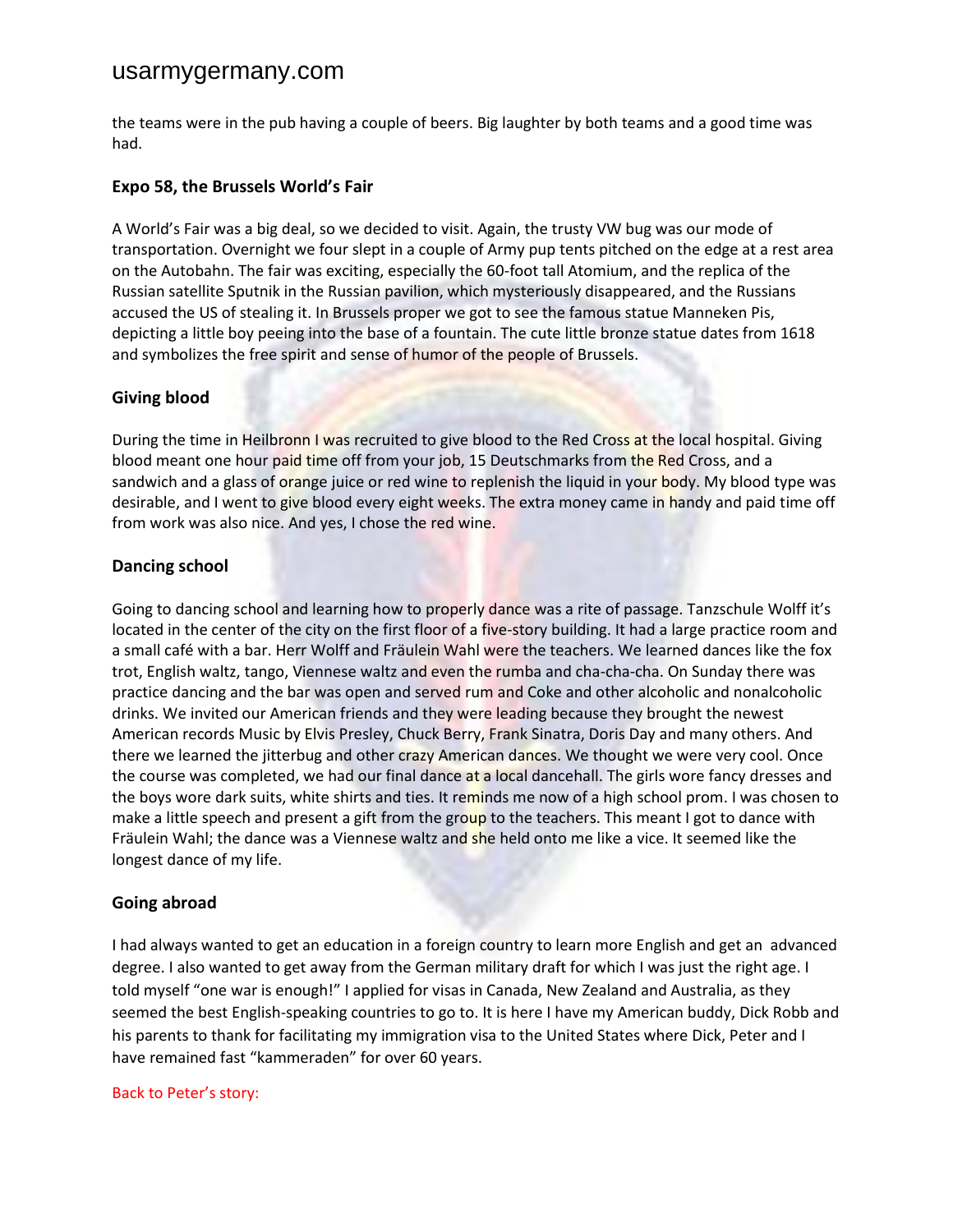the teams were in the pub having a couple of beers. Big laughter by both teams and a good time was had.

#### **Expo 58, the Brussels World's Fair**

A World's Fair was a big deal, so we decided to visit. Again, the trusty VW bug was our mode of transportation. Overnight we four slept in a couple of Army pup tents pitched on the edge at a rest area on the Autobahn. The fair was exciting, especially the 60-foot tall Atomium, and the replica of the Russian satellite Sputnik in the Russian pavilion, which mysteriously disappeared, and the Russians accused the US of stealing it. In Brussels proper we got to see the famous statue Manneken Pis, depicting a little boy peeing into the base of a fountain. The cute little bronze statue dates from 1618 and symbolizes the free spirit and sense of humor of the people of Brussels.

### **Giving blood**

During the time in Heilbronn I was recruited to give blood to the Red Cross at the local hospital. Giving blood meant one hour paid time off from your job, 15 Deutschmarks from the Red Cross, and a sandwich and a glass of orange juice or red wine to replenish the liquid in your body. My blood type was desirable, and I went to give blood every eight weeks. The extra money came in handy and paid time off from work was also nice. And yes, I chose the red wine.

#### **Dancing school**

Going to dancing school and learning how to properly dance was a rite of passage. Tanzschule Wolff it's located in the center of the city on the first floor of a five-story building. It had a large practice room and a small café with a bar. Herr Wolff and Fräulein Wahl were the teachers. We learned dances like the fox trot, English waltz, tango, Viennese waltz and even the rumba and cha-cha-cha. On Sunday there was practice dancing and the bar was open and served rum and Coke and other alcoholic and nonalcoholic drinks. We invited our American friends and they were leading because they brought the newest American records Music by Elvis Presley, Chuck Berry, Frank Sinatra, Doris Day and many others. And there we learned the jitterbug and other crazy American dances. We thought we were very cool. Once the course was completed, we had our final dance at a local dancehall. The girls wore fancy dresses and the boys wore dark suits, white shirts and ties. It reminds me now of a high school prom. I was chosen to make a little speech and present a gift from the group to the teachers. This meant I got to dance with Fräulein Wahl; the dance was a Viennese waltz and she held onto me like a vice. It seemed like the longest dance of my life.

### **Going abroad**

I had always wanted to get an education in a foreign country to learn more English and get an advanced degree. I also wanted to get away from the German military draft for which I was just the right age. I told myself "one war is enough!" I applied for visas in Canada, New Zealand and Australia, as they seemed the best English-speaking countries to go to. It is here I have my American buddy, Dick Robb and his parents to thank for facilitating my immigration visa to the United States where Dick, Peter and I have remained fast "kammeraden" for over 60 years.

#### Back to Peter's story: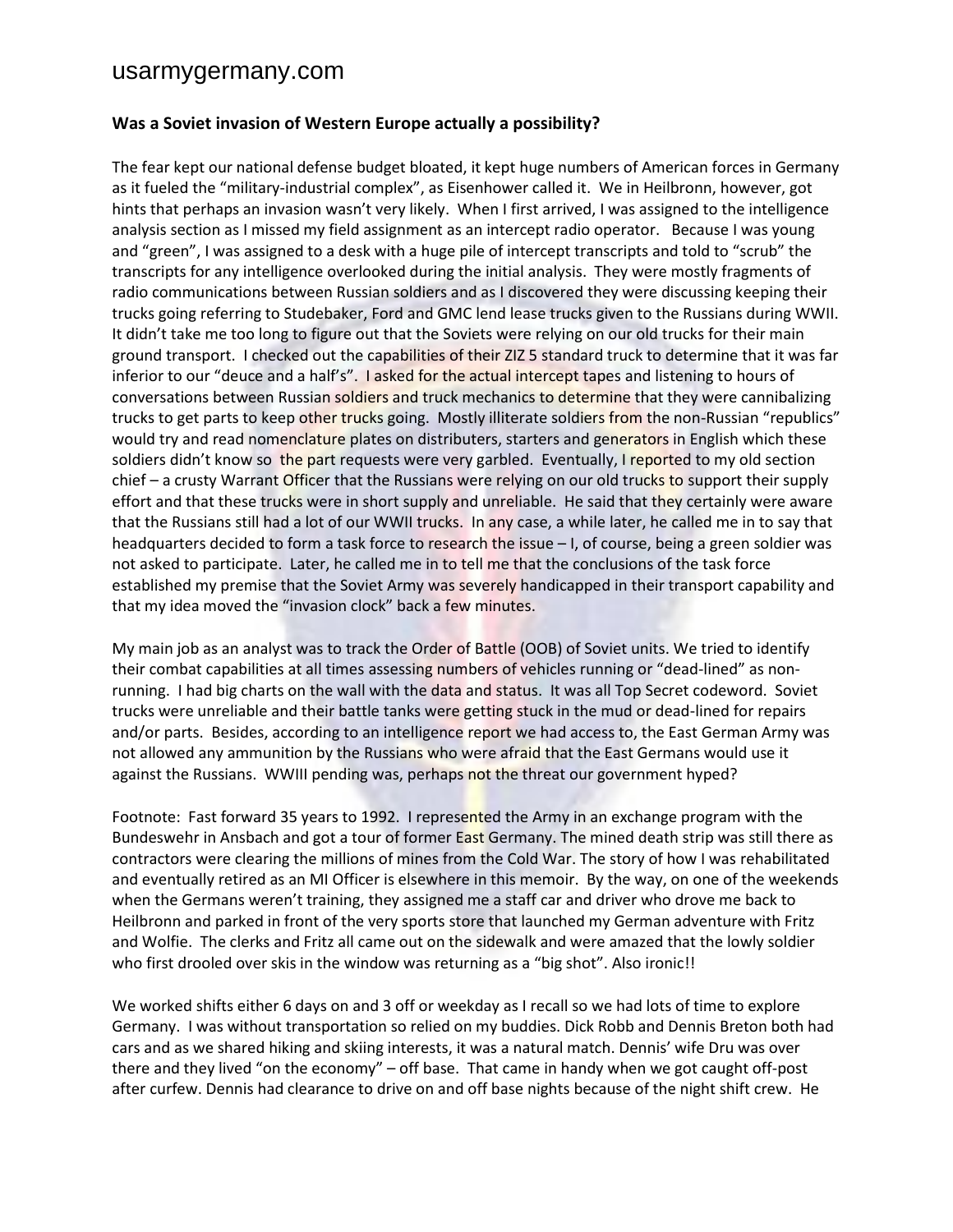#### **Was a Soviet invasion of Western Europe actually a possibility?**

The fear kept our national defense budget bloated, it kept huge numbers of American forces in Germany as it fueled the "military-industrial complex", as Eisenhower called it. We in Heilbronn, however, got hints that perhaps an invasion wasn't very likely. When I first arrived, I was assigned to the intelligence analysis section as I missed my field assignment as an intercept radio operator. Because I was young and "green", I was assigned to a desk with a huge pile of intercept transcripts and told to "scrub" the transcripts for any intelligence overlooked during the initial analysis. They were mostly fragments of radio communications between Russian soldiers and as I discovered they were discussing keeping their trucks going referring to Studebaker, Ford and GMC lend lease trucks given to the Russians during WWII. It didn't take me too long to figure out that the Soviets were relying on our old trucks for their main ground transport. I checked out the capabilities of their ZIZ 5 standard truck to determine that it was far inferior to our "deuce and a half's". I asked for the actual intercept tapes and listening to hours of conversations between Russian soldiers and truck mechanics to determine that they were cannibalizing trucks to get parts to keep other trucks going. Mostly illiterate soldiers from the non-Russian "republics" would try and read nomenclature plates on distributers, starters and generators in English which these soldiers didn't know so the part requests were very garbled. Eventually, I reported to my old section chief – a crusty Warrant Officer that the Russians were relying on our old trucks to support their supply effort and that these trucks were in short supply and unreliable. He said that they certainly were aware that the Russians still had a lot of our WWII trucks. In any case, a while later, he called me in to say that headquarters decided to form a task force to research the issue – I, of course, being a green soldier was not asked to participate. Later, he called me in to tell me that the conclusions of the task force established my premise that the Soviet Army was severely handicapped in their transport capability and that my idea moved the "invasion clock" back a few minutes.

My main job as an analyst was to track the Order of Battle (OOB) of Soviet units. We tried to identify their combat capabilities at all times assessing numbers of vehicles running or "dead-lined" as nonrunning. I had big charts on the wall with the data and status. It was all Top Secret codeword. Soviet trucks were unreliable and their battle tanks were getting stuck in the mud or dead-lined for repairs and/or parts. Besides, according to an intelligence report we had access to, the East German Army was not allowed any ammunition by the Russians who were afraid that the East Germans would use it against the Russians. WWIII pending was, perhaps not the threat our government hyped?

Footnote: Fast forward 35 years to 1992. I represented the Army in an exchange program with the Bundeswehr in Ansbach and got a tour of former East Germany. The mined death strip was still there as contractors were clearing the millions of mines from the Cold War. The story of how I was rehabilitated and eventually retired as an MI Officer is elsewhere in this memoir. By the way, on one of the weekends when the Germans weren't training, they assigned me a staff car and driver who drove me back to Heilbronn and parked in front of the very sports store that launched my German adventure with Fritz and Wolfie. The clerks and Fritz all came out on the sidewalk and were amazed that the lowly soldier who first drooled over skis in the window was returning as a "big shot". Also ironic!!

We worked shifts either 6 days on and 3 off or weekday as I recall so we had lots of time to explore Germany. I was without transportation so relied on my buddies. Dick Robb and Dennis Breton both had cars and as we shared hiking and skiing interests, it was a natural match. Dennis' wife Dru was over there and they lived "on the economy" – off base. That came in handy when we got caught off-post after curfew. Dennis had clearance to drive on and off base nights because of the night shift crew. He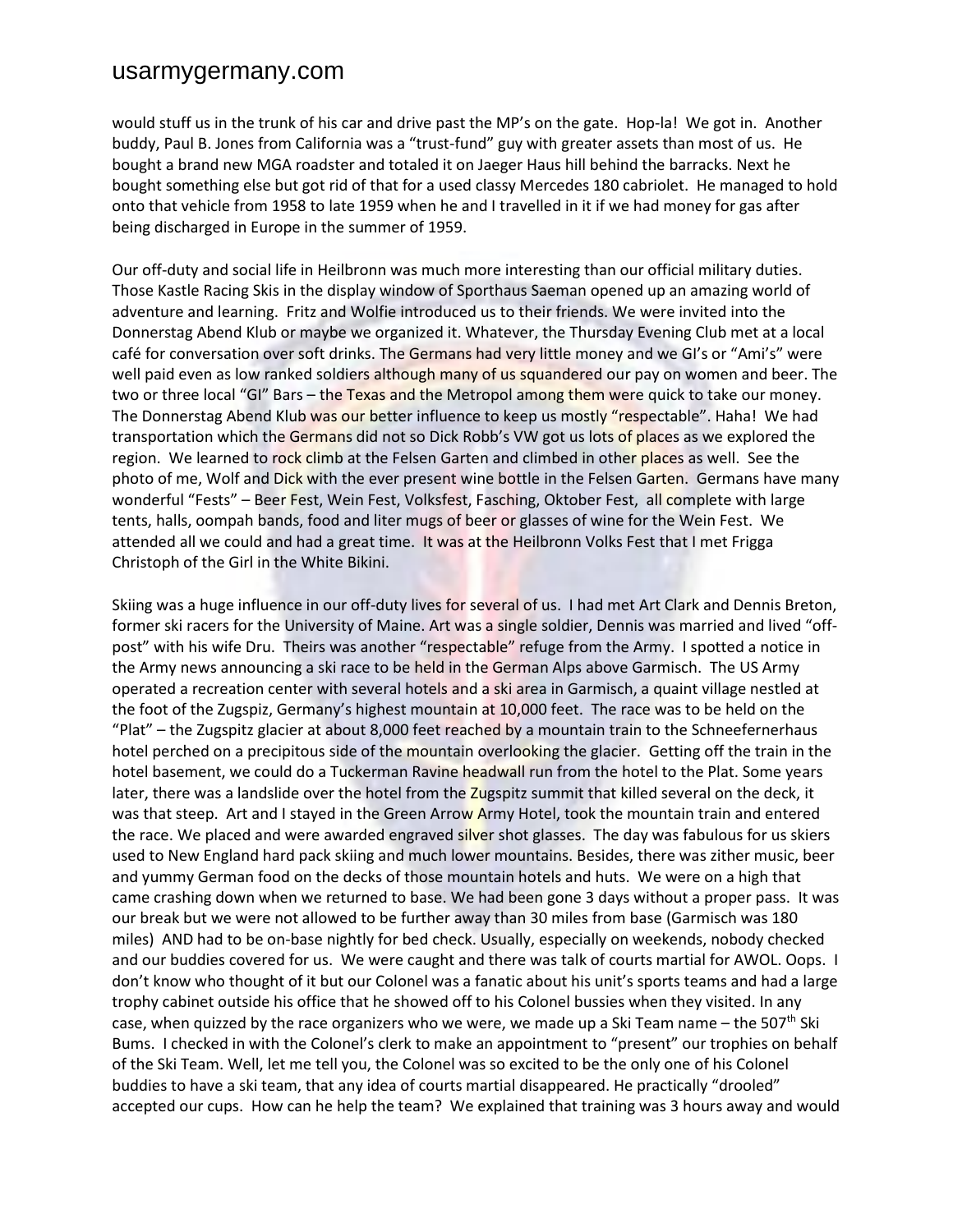would stuff us in the trunk of his car and drive past the MP's on the gate. Hop-la! We got in. Another buddy, Paul B. Jones from California was a "trust-fund" guy with greater assets than most of us. He bought a brand new MGA roadster and totaled it on Jaeger Haus hill behind the barracks. Next he bought something else but got rid of that for a used classy Mercedes 180 cabriolet. He managed to hold onto that vehicle from 1958 to late 1959 when he and I travelled in it if we had money for gas after being discharged in Europe in the summer of 1959.

Our off-duty and social life in Heilbronn was much more interesting than our official military duties. Those Kastle Racing Skis in the display window of Sporthaus Saeman opened up an amazing world of adventure and learning. Fritz and Wolfie introduced us to their friends. We were invited into the Donnerstag Abend Klub or maybe we organized it. Whatever, the Thursday Evening Club met at a local café for conversation over soft drinks. The Germans had very little money and we GI's or "Ami's" were well paid even as low ranked soldiers although many of us squandered our pay on women and beer. The two or three local "GI" Bars – the Texas and the Metropol among them were quick to take our money. The Donnerstag Abend Klub was our better influence to keep us mostly "respectable". Haha! We had transportation which the Germans did not so Dick Robb's VW got us lots of places as we explored the region. We learned to rock climb at the Felsen Garten and climbed in other places as well. See the photo of me, Wolf and Dick with the ever present wine bottle in the Felsen Garten. Germans have many wonderful "Fests" – Beer Fest, Wein Fest, Volksfest, Fasching, Oktober Fest, all complete with large tents, halls, oompah bands, food and liter mugs of beer or glasses of wine for the Wein Fest. We attended all we could and had a great time. It was at the Heilbronn Volks Fest that I met Frigga Christoph of the Girl in the White Bikini.

Skiing was a huge influence in our off-duty lives for several of us. I had met Art Clark and Dennis Breton, former ski racers for the University of Maine. Art was a single soldier, Dennis was married and lived "offpost" with his wife Dru. Theirs was another "respectable" refuge from the Army. I spotted a notice in the Army news announcing a ski race to be held in the German Alps above Garmisch. The US Army operated a recreation center with several hotels and a ski area in Garmisch, a quaint village nestled at the foot of the Zugspiz, Germany's highest mountain at 10,000 feet. The race was to be held on the "Plat" – the Zugspitz glacier at about 8,000 feet reached by a mountain train to the Schneefernerhaus hotel perched on a precipitous side of the mountain overlooking the glacier. Getting off the train in the hotel basement, we could do a Tuckerman Ravine headwall run from the hotel to the Plat. Some years later, there was a landslide over the hotel from the Zugspitz summit that killed several on the deck, it was that steep. Art and I stayed in the Green Arrow Army Hotel, took the mountain train and entered the race. We placed and were awarded engraved silver shot glasses. The day was fabulous for us skiers used to New England hard pack skiing and much lower mountains. Besides, there was zither music, beer and yummy German food on the decks of those mountain hotels and huts. We were on a high that came crashing down when we returned to base. We had been gone 3 days without a proper pass. It was our break but we were not allowed to be further away than 30 miles from base (Garmisch was 180 miles) AND had to be on-base nightly for bed check. Usually, especially on weekends, nobody checked and our buddies covered for us. We were caught and there was talk of courts martial for AWOL. Oops. I don't know who thought of it but our Colonel was a fanatic about his unit's sports teams and had a large trophy cabinet outside his office that he showed off to his Colonel bussies when they visited. In any case, when quizzed by the race organizers who we were, we made up a Ski Team name – the  $507<sup>th</sup>$  Ski Bums. I checked in with the Colonel's clerk to make an appointment to "present" our trophies on behalf of the Ski Team. Well, let me tell you, the Colonel was so excited to be the only one of his Colonel buddies to have a ski team, that any idea of courts martial disappeared. He practically "drooled" accepted our cups. How can he help the team? We explained that training was 3 hours away and would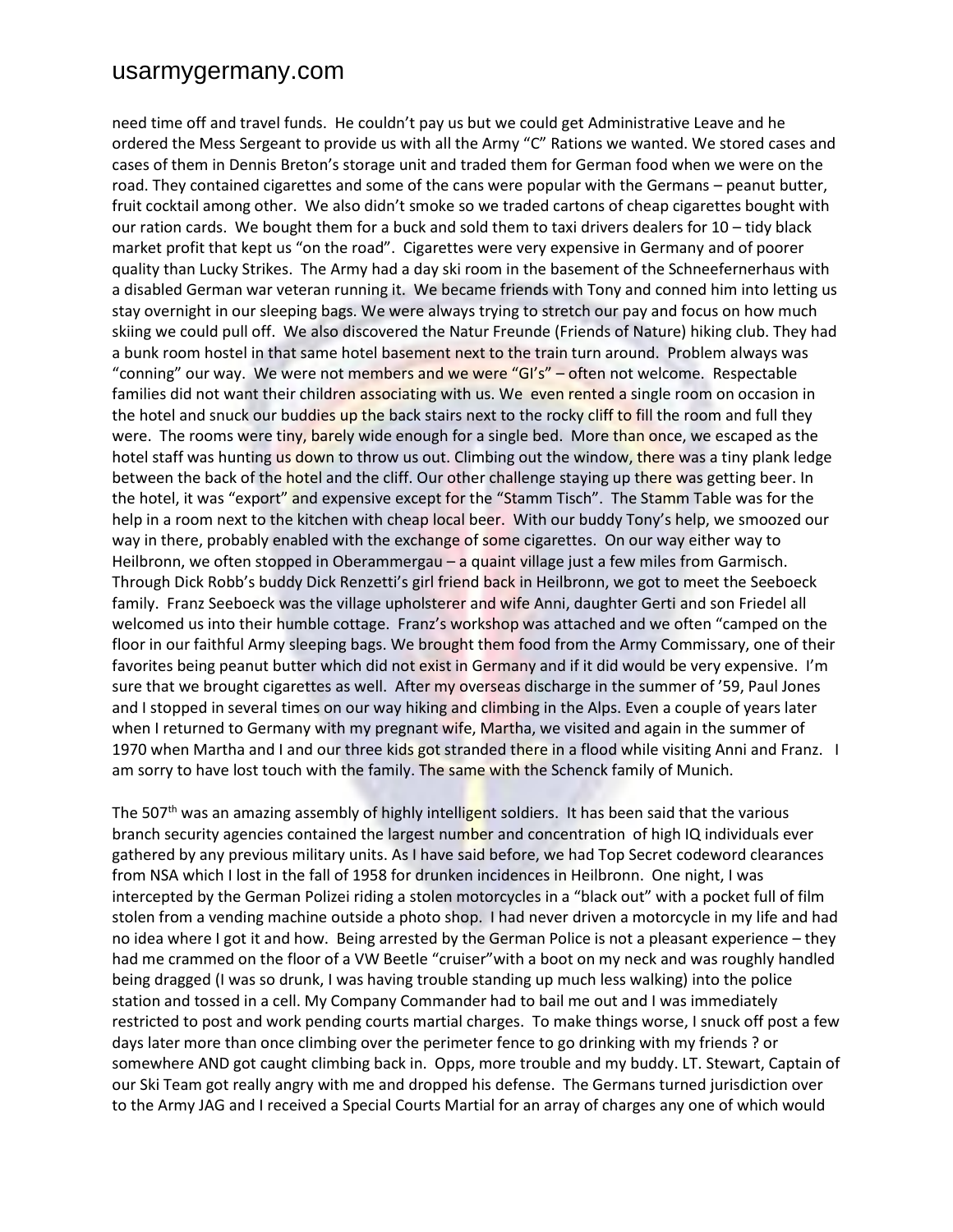need time off and travel funds. He couldn't pay us but we could get Administrative Leave and he ordered the Mess Sergeant to provide us with all the Army "C" Rations we wanted. We stored cases and cases of them in Dennis Breton's storage unit and traded them for German food when we were on the road. They contained cigarettes and some of the cans were popular with the Germans – peanut butter, fruit cocktail among other. We also didn't smoke so we traded cartons of cheap cigarettes bought with our ration cards. We bought them for a buck and sold them to taxi drivers dealers for 10 – tidy black market profit that kept us "on the road". Cigarettes were very expensive in Germany and of poorer quality than Lucky Strikes. The Army had a day ski room in the basement of the Schneefernerhaus with a disabled German war veteran running it. We became friends with Tony and conned him into letting us stay overnight in our sleeping bags. We were always trying to stretch our pay and focus on how much skiing we could pull off. We also discovered the Natur Freunde (Friends of Nature) hiking club. They had a bunk room hostel in that same hotel basement next to the train turn around. Problem always was "conning" our way. We were not members and we were "GI's" – often not welcome. Respectable families did not want their children associating with us. We even rented a single room on occasion in the hotel and snuck our buddies up the back stairs next to the rocky cliff to fill the room and full they were. The rooms were tiny, barely wide enough for a single bed. More than once, we escaped as the hotel staff was hunting us down to throw us out. Climbing out the window, there was a tiny plank ledge between the back of the hotel and the cliff. Our other challenge staying up there was getting beer. In the hotel, it was "export" and expensive except for the "Stamm Tisch". The Stamm Table was for the help in a room next to the kitchen with cheap local beer. With our buddy Tony's help, we smoozed our way in there, probably enabled with the exchange of some cigarettes. On our way either way to Heilbronn, we often stopped in Oberammergau – a quaint village just a few miles from Garmisch. Through Dick Robb's buddy Dick Renzetti's girl friend back in Heilbronn, we got to meet the Seeboeck family. Franz Seeboeck was the village upholsterer and wife Anni, daughter Gerti and son Friedel all welcomed us into their humble cottage. Franz's workshop was attached and we often "camped on the floor in our faithful Army sleeping bags. We brought them food from the Army Commissary, one of their favorites being peanut butter which did not exist in Germany and if it did would be very expensive. I'm sure that we brought cigarettes as well. After my overseas discharge in the summer of '59, Paul Jones and I stopped in several times on our way hiking and climbing in the Alps. Even a couple of years later when I returned to Germany with my pregnant wife, Martha, we visited and again in the summer of 1970 when Martha and I and our three kids got stranded there in a flood while visiting Anni and Franz. I am sorry to have lost touch with the family. The same with the Schenck family of Munich.

The 507<sup>th</sup> was an amazing assembly of highly intelligent soldiers. It has been said that the various branch security agencies contained the largest number and concentration of high IQ individuals ever gathered by any previous military units. As I have said before, we had Top Secret codeword clearances from NSA which I lost in the fall of 1958 for drunken incidences in Heilbronn. One night, I was intercepted by the German Polizei riding a stolen motorcycles in a "black out" with a pocket full of film stolen from a vending machine outside a photo shop. I had never driven a motorcycle in my life and had no idea where I got it and how. Being arrested by the German Police is not a pleasant experience – they had me crammed on the floor of a VW Beetle "cruiser"with a boot on my neck and was roughly handled being dragged (I was so drunk, I was having trouble standing up much less walking) into the police station and tossed in a cell. My Company Commander had to bail me out and I was immediately restricted to post and work pending courts martial charges. To make things worse, I snuck off post a few days later more than once climbing over the perimeter fence to go drinking with my friends ? or somewhere AND got caught climbing back in. Opps, more trouble and my buddy. LT. Stewart, Captain of our Ski Team got really angry with me and dropped his defense. The Germans turned jurisdiction over to the Army JAG and I received a Special Courts Martial for an array of charges any one of which would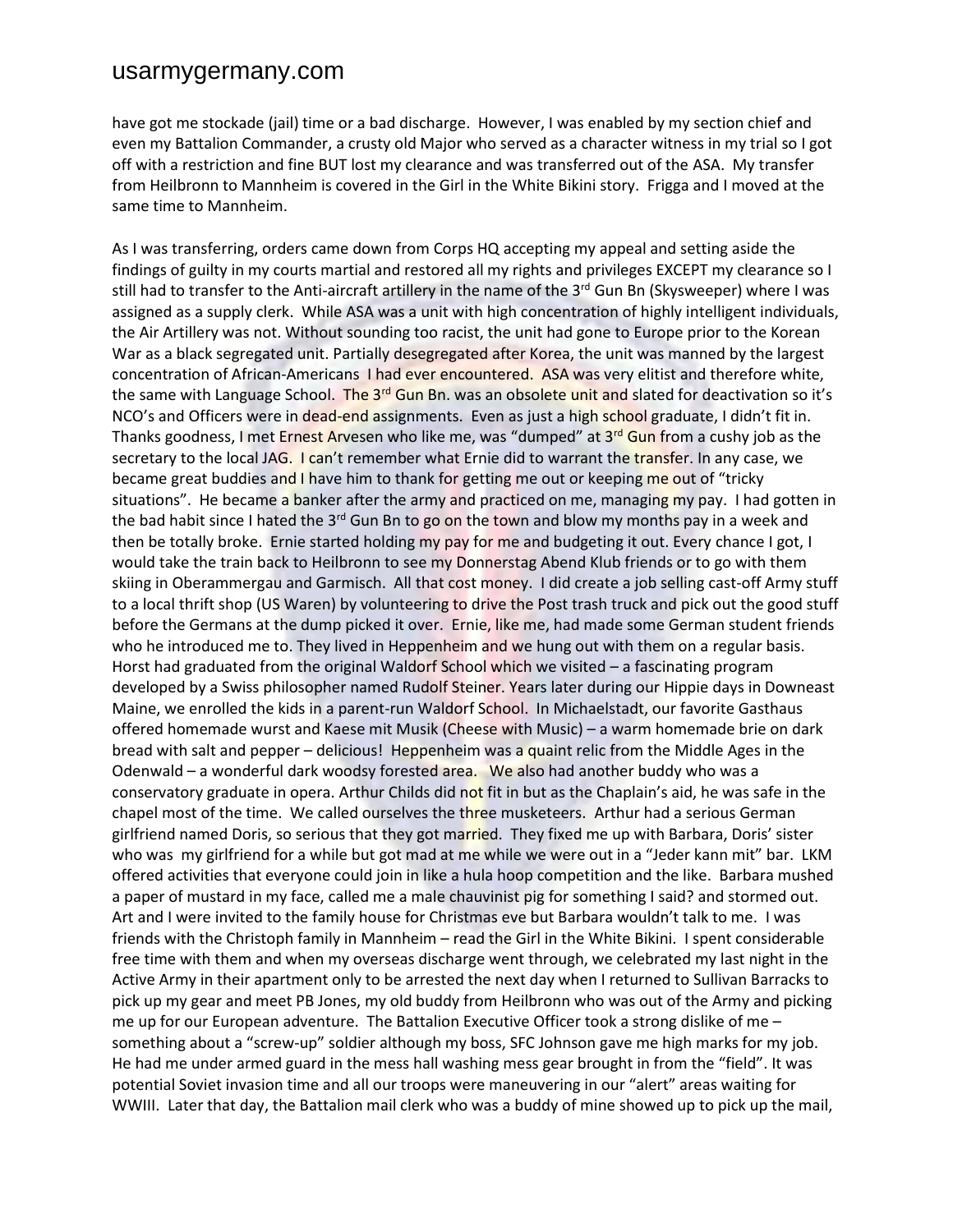have got me stockade (jail) time or a bad discharge. However, I was enabled by my section chief and even my Battalion Commander, a crusty old Major who served as a character witness in my trial so I got off with a restriction and fine BUT lost my clearance and was transferred out of the ASA. My transfer from Heilbronn to Mannheim is covered in the Girl in the White Bikini story. Frigga and I moved at the same time to Mannheim.

As I was transferring, orders came down from Corps HQ accepting my appeal and setting aside the findings of guilty in my courts martial and restored all my rights and privileges EXCEPT my clearance so I still had to transfer to the Anti-aircraft artillery in the name of the 3<sup>rd</sup> Gun Bn (Skysweeper) where I was assigned as a supply clerk. While ASA was a unit with high concentration of highly intelligent individuals, the Air Artillery was not. Without sounding too racist, the unit had gone to Europe prior to the Korean War as a black segregated unit. Partially desegregated after Korea, the unit was manned by the largest concentration of African-Americans I had ever encountered. ASA was very elitist and therefore white, the same with Language School. The  $3^{rd}$  Gun Bn. was an obsolete unit and slated for deactivation so it's NCO's and Officers were in dead-end assignments. Even as just a high school graduate, I didn't fit in. Thanks goodness, I met Ernest Arvesen who like me, was "dumped" at 3<sup>rd</sup> Gun from a cushy job as the secretary to the local JAG. I can't remember what Ernie did to warrant the transfer. In any case, we became great buddies and I have him to thank for getting me out or keeping me out of "tricky situations". He became a banker after the army and practiced on me, managing my pay. I had gotten in the bad habit since I hated the  $3^{rd}$  Gun Bn to go on the town and blow my months pay in a week and then be totally broke. Ernie started holding my pay for me and budgeting it out. Every chance I got, I would take the train back to Heilbronn to see my Donnerstag Abend Klub friends or to go with them skiing in Oberammergau and Garmisch. All that cost money. I did create a job selling cast-off Army stuff to a local thrift shop (US Waren) by volunteering to drive the Post trash truck and pick out the good stuff before the Germans at the dump picked it over. Ernie, like me, had made some German student friends who he introduced me to. They lived in Heppenheim and we hung out with them on a regular basis. Horst had graduated from the original Waldorf School which we visited – a fascinating program developed by a Swiss philosopher named Rudolf Steiner. Years later during our Hippie days in Downeast Maine, we enrolled the kids in a parent-run Waldorf School. In Michaelstadt, our favorite Gasthaus offered homemade wurst and Kaese mit Musik (Cheese with Music) – a warm homemade brie on dark bread with salt and pepper – delicious! Heppenheim was a quaint relic from the Middle Ages in the Odenwald – a wonderful dark woodsy forested area. We also had another buddy who was a conservatory graduate in opera. Arthur Childs did not fit in but as the Chaplain's aid, he was safe in the chapel most of the time. We called ourselves the three musketeers. Arthur had a serious German girlfriend named Doris, so serious that they got married. They fixed me up with Barbara, Doris' sister who was my girlfriend for a while but got mad at me while we were out in a "Jeder kann mit" bar. LKM offered activities that everyone could join in like a hula hoop competition and the like. Barbara mushed a paper of mustard in my face, called me a male chauvinist pig for something I said? and stormed out. Art and I were invited to the family house for Christmas eve but Barbara wouldn't talk to me. I was friends with the Christoph family in Mannheim – read the Girl in the White Bikini. I spent considerable free time with them and when my overseas discharge went through, we celebrated my last night in the Active Army in their apartment only to be arrested the next day when I returned to Sullivan Barracks to pick up my gear and meet PB Jones, my old buddy from Heilbronn who was out of the Army and picking me up for our European adventure. The Battalion Executive Officer took a strong dislike of me – something about a "screw-up" soldier although my boss, SFC Johnson gave me high marks for my job. He had me under armed guard in the mess hall washing mess gear brought in from the "field". It was potential Soviet invasion time and all our troops were maneuvering in our "alert" areas waiting for WWIII. Later that day, the Battalion mail clerk who was a buddy of mine showed up to pick up the mail,